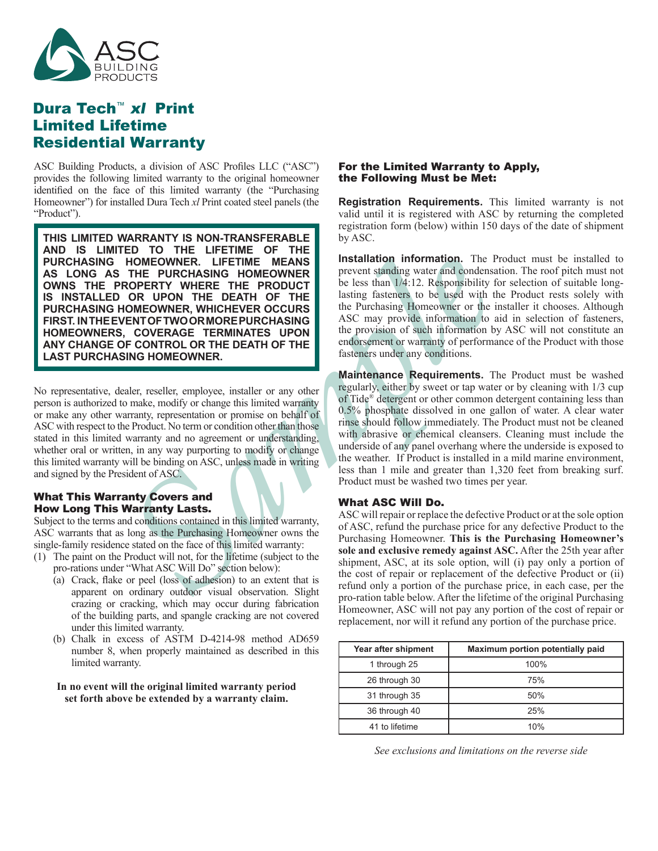

# Dura Tech™ xl Print Limited Lifetime Residential Warranty

ASC Building Products, a division of ASC Profiles LLC ("ASC") provides the following limited warranty to the original homeowner identified on the face of this limited warranty (the "Purchasing Homeowner") for installed Dura Tech *xl* Print coated steel panels (the "Product").

**HOMEOWINGR. LIFETIME MEANS**<br> **SAMPLE PURCHASING HOMEOWINGR TO THE PRODUCT**<br> **SAMPLE PURCHASING HOMEOWINGR MOMEOWING TOR UP (SEEM TO THE DEATH OF THE DEATH OF THE LIST (SEEM AND THE DEATH OF THE DEATH OF THE DEATH OR THE D THIS LIMITED WARRANTY IS NON-TRANSFERABLE AND IS LIMITED TO THE LIFETIME OF THE PURCHASING HOMEOWNER. LIFETIME MEANS AS LONG AS THE PURCHASING HOMEOWNER OWNS THE PROPERTY WHERE THE PRODUCT IS INSTALLED OR UPON THE DEATH OF THE PURCHASING HOMEOWNER, WHICHEVER OCCURS FIRST. IN THE EVENT OF TWO OR MORE PURCHASING HOMEOWNERS, COVERAGE TERMINATES UPON ANY CHANGE OF CONTROL OR THE DEATH OF THE LAST PURCHASING HOMEOWNER.**

No representative, dealer, reseller, employee, installer or any other person is authorized to make, modify or change this limited warranty or make any other warranty, representation or promise on behalf of ASC with respect to the Product. No term or condition other than those stated in this limited warranty and no agreement or understanding, whether oral or written, in any way purporting to modify or change this limited warranty will be binding on ASC, unless made in writing and signed by the President of ASC.

## What This Warranty Covers and How Long This Warranty Lasts.

Subject to the terms and conditions contained in this limited warranty, ASC warrants that as long as the Purchasing Homeowner owns the single-family residence stated on the face of this limited warranty:

- (1) The paint on the Product will not, for the lifetime (subject to the pro-rations under "What ASC Will Do" section below):
	- (a) Crack, flake or peel (loss of adhesion) to an extent that is apparent on ordinary outdoor visual observation. Slight crazing or cracking, which may occur during fabrication of the building parts, and spangle cracking are not covered under this limited warranty.
	- (b) Chalk in excess of ASTM D-4214-98 method AD659 number 8, when properly maintained as described in this limited warranty.

#### **In no event will the original limited warranty period set forth above be extended by a warranty claim.**

## For the Limited Warranty to Apply, the Following Must be Met:

**Registration Requirements.** This limited warranty is not valid until it is registered with ASC by returning the completed registration form (below) within 150 days of the date of shipment by ASC.

**Installation information.** The Product must be installed to prevent standing water and condensation. The roof pitch must not be less than 1/4:12. Responsibility for selection of suitable longlasting fasteners to be used with the Product rests solely with the Purchasing Homeowner or the installer it chooses. Although ASC may provide information to aid in selection of fasteners, the provision of such information by ASC will not constitute an endorsement or warranty of performance of the Product with those fasteners under any conditions.

**Maintenance Requirements.** The Product must be washed regularly, either by sweet or tap water or by cleaning with 1/3 cup of Tide® detergent or other common detergent containing less than 0.5% phosphate dissolved in one gallon of water. A clear water rinse should follow immediately. The Product must not be cleaned with abrasive or chemical cleansers. Cleaning must include the underside of any panel overhang where the underside is exposed to the weather. If Product is installed in a mild marine environment, less than 1 mile and greater than 1,320 feet from breaking surf. Product must be washed two times per year.

# What ASC Will Do.

ASC will repair or replace the defective Product or at the sole option of ASC, refund the purchase price for any defective Product to the Purchasing Homeowner. **This is the Purchasing Homeowner's sole and exclusive remedy against ASC.** After the 25th year after shipment, ASC, at its sole option, will (i) pay only a portion of the cost of repair or replacement of the defective Product or (ii) refund only a portion of the purchase price, in each case, per the pro-ration table below. After the lifetime of the original Purchasing Homeowner, ASC will not pay any portion of the cost of repair or replacement, nor will it refund any portion of the purchase price.

| Year after shipment | Maximum portion potentially paid |
|---------------------|----------------------------------|
| 1 through 25        | 100%                             |
| 26 through 30       | 75%                              |
| 31 through 35       | 50%                              |
| 36 through 40       | 25%                              |
| 41 to lifetime      | 10%                              |

*See exclusions and limitations on the reverse side*